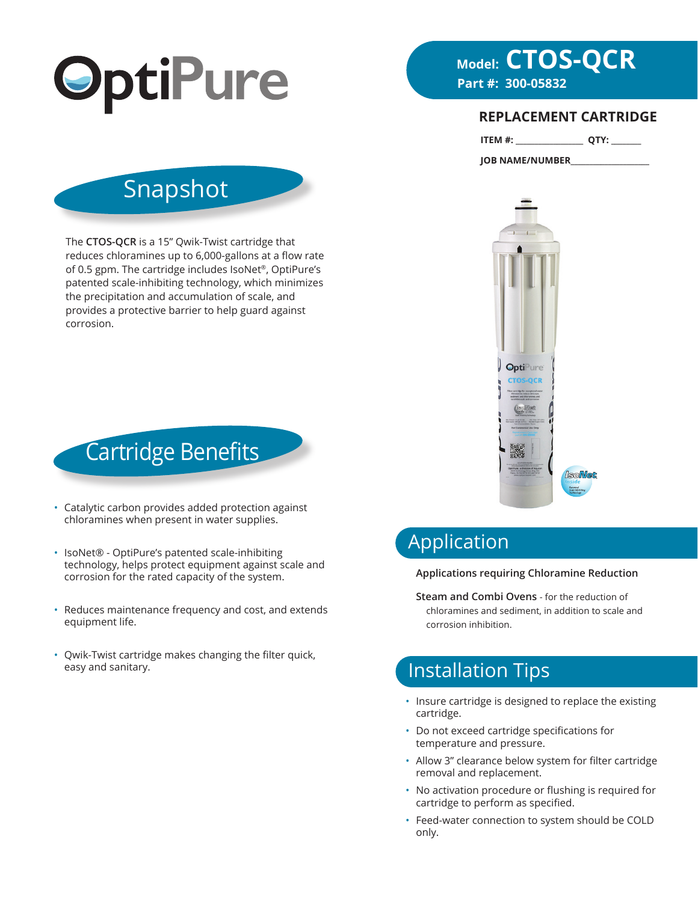

# **Model: CTOS-QCR**

#### **REPLACEMENT CARTRIDGE**

| ITEM #: |  |  |  |
|---------|--|--|--|
|---------|--|--|--|

**JOB NAME/NUMBER\_\_\_\_\_\_\_\_\_\_\_\_\_\_\_\_\_\_\_\_\_**



# Snapshot

The **CTOS-QCR** is a 15" Qwik-Twist cartridge that reduces chloramines up to 6,000-gallons at a flow rate of 0.5 gpm. The cartridge includes IsoNet®, OptiPure's patented scale-inhibiting technology, which minimizes the precipitation and accumulation of scale, and provides a protective barrier to help guard against corrosion.



- Catalytic carbon provides added protection against chloramines when present in water supplies.
- IsoNet® OptiPure's patented scale-inhibiting technology, helps protect equipment against scale and corrosion for the rated capacity of the system.
- Reduces maintenance frequency and cost, and extends equipment life.
- Qwik-Twist cartridge makes changing the filter quick, easy and sanitary.

# Application

#### **Applications requiring Chloramine Reduction**

**Steam and Combi Ovens** - for the reduction of chloramines and sediment, in addition to scale and corrosion inhibition.

# Installation Tips

- Insure cartridge is designed to replace the existing cartridge.
- Do not exceed cartridge specifications for temperature and pressure.
- Allow 3" clearance below system for filter cartridge removal and replacement.
- No activation procedure or flushing is required for cartridge to perform as specified.
- Feed-water connection to system should be COLD only.